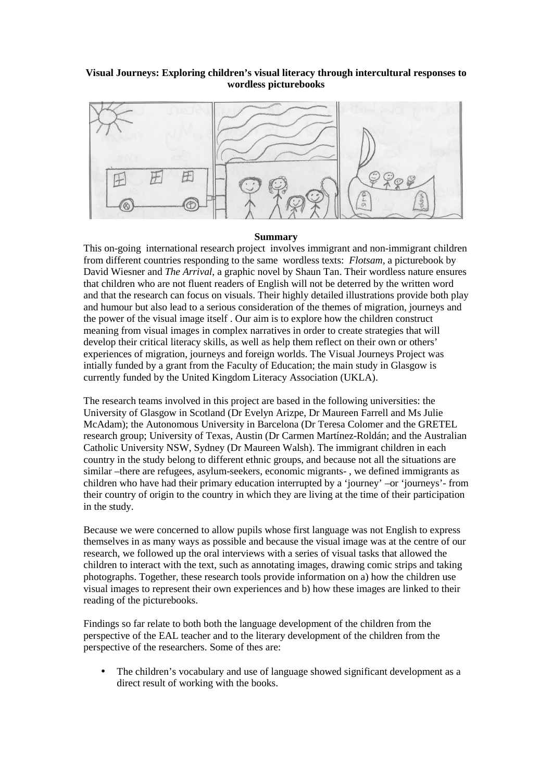## **Visual Journeys: Exploring children's visual literacy through intercultural responses to wordless picturebooks**



## **Summary**

This on-going international research project involves immigrant and non-immigrant children from different countries responding to the same wordless texts: *Flotsam,* a picturebook by David Wiesner and *The Arrival*, a graphic novel by Shaun Tan. Their wordless nature ensures that children who are not fluent readers of English will not be deterred by the written word and that the research can focus on visuals. Their highly detailed illustrations provide both play and humour but also lead to a serious consideration of the themes of migration, journeys and the power of the visual image itself . Our aim is to explore how the children construct meaning from visual images in complex narratives in order to create strategies that will develop their critical literacy skills, as well as help them reflect on their own or others' experiences of migration, journeys and foreign worlds. The Visual Journeys Project was intially funded by a grant from the Faculty of Education; the main study in Glasgow is currently funded by the United Kingdom Literacy Association (UKLA).

The research teams involved in this project are based in the following universities: the University of Glasgow in Scotland (Dr Evelyn Arizpe, Dr Maureen Farrell and Ms Julie McAdam); the Autonomous University in Barcelona (Dr Teresa Colomer and the GRETEL research group; University of Texas, Austin (Dr Carmen Martínez-Roldán; and the Australian Catholic University NSW, Sydney (Dr Maureen Walsh). The immigrant children in each country in the study belong to different ethnic groups, and because not all the situations are similar –there are refugees, asylum-seekers, economic migrants- , we defined immigrants as children who have had their primary education interrupted by a 'journey' –or 'journeys'- from their country of origin to the country in which they are living at the time of their participation in the study.

Because we were concerned to allow pupils whose first language was not English to express themselves in as many ways as possible and because the visual image was at the centre of our research, we followed up the oral interviews with a series of visual tasks that allowed the children to interact with the text, such as annotating images, drawing comic strips and taking photographs. Together, these research tools provide information on a) how the children use visual images to represent their own experiences and b) how these images are linked to their reading of the picturebooks.

Findings so far relate to both both the language development of the children from the perspective of the EAL teacher and to the literary development of the children from the perspective of the researchers. Some of thes are:

• The children's vocabulary and use of language showed significant development as a direct result of working with the books.